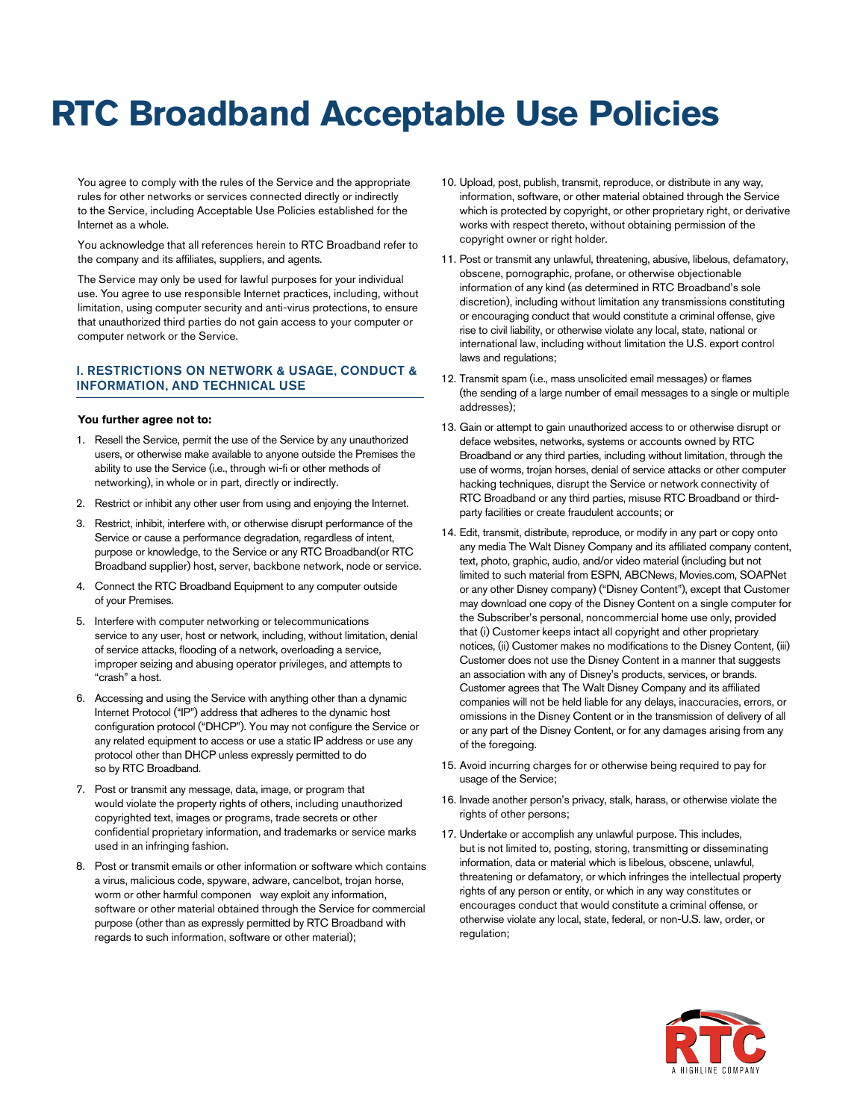# **RTC Broadband Acceptable Use Policies**

You agree to comply with the rules of the Service and the appropriate rules for other networks or services connected directly or indirectly to the Service, including Acceptable Use Policies established for the Internet as a whole.

You acknowledge that all references herein to RTC Broadband refer to the company and its affiliates, suppliers, and agents.

The Service may only be used for lawful purposes for your individual use. You agree to use responsible Internet practices, including, without limitation, using computer security and anti-virus protections, to ensure that unauthorized third parties do not gain access to your computer or computer network or the Service.

## I. RESTRICTIONS ON NETWORK & USAGE, CONDUCT & INFORMATION, AND TECHNICAL USE

## **You further agree not to:**

- 1. Resell the Service, permit the use of the Service by any unauthorized users, or otherwise make available to anyone outside the Premises the ability to use the Service (i.e., through wi-fi or other methods of networking), in whole or in part, directly or indirectly.
- 2. Restrict or inhibit any other user from using and enjoying the Internet.
- 3. Restrict, inhibit, interfere with, or otherwise disrupt performance of the Service or cause a performance degradation, regardless of intent, purpose or knowledge, to the Service or any RTC Broadband(or RTC Broadband supplier) host, server, backbone network, node or service.
- 4. Connect the RTC Broadband Equipment to any computer outside of your Premises.
- 5. Interfere with computer networking or telecommunications service to any user, host or network, including, without limitation, denial of service attacks, flooding of a network, overloading a service, improper seizing and abusing operator privileges, and attempts to "crash" a host.
- 6. Accessing and using the Service with anything other than a dynamic Internet Protocol ("IP") address that adheres to the dynamic host configuration protocol ("DHCP"). You may not configure the Service or any related equipment to access or use a static IP address or use any protocol other than DHCP unless expressly permitted to do so by RTC Broadband.
- 7. Post or transmit any message, data, image, or program that would violate the property rights of others, including unauthorized copyrighted text, images or programs, trade secrets or other confidential proprietary information, and trademarks or service marks used in an infringing fashion.
- 8. Post or transmit emails or other information or software which contains a virus, malicious code, spyware, adware, cancelbot, trojan horse, worm or other harmful componen way exploit any information, software or other material obtained through the Service for commercial purpose (other than as expressly permitted by RTC Broadband with regards to such information, software or other material);
- 10. Upload, post, publish, transmit, reproduce, or distribute in any way, information, software, or other material obtained through the Service which is protected by copyright, or other proprietary right, or derivative works with respect thereto, without obtaining permission of the copyright owner or right holder.
- 11. Post or transmit any unlawful, threatening, abusive, libelous, defamatory, obscene, pornographic, profane, or otherwise objectionable information of any kind (as determined in RTC Broadband's sole discretion), including without limitation any transmissions constituting or encouraging conduct that would constitute a criminal offense, give rise to civil liability, or otherwise violate any local, state, national or international law, including without limitation the U.S. export control laws and regulations;
- 12. Transmit spam (i.e., mass unsolicited email messages) or flames (the sending of a large number of email messages to a single or multiple addresses);
- 13. Gain or attempt to gain unauthorized access to or otherwise disrupt or deface websites, networks, systems or accounts owned by RTC Broadband or any third parties, including without limitation, through the use of worms, trojan horses, denial of service attacks or other computer hacking techniques, disrupt the Service or network connectivity of RTC Broadband or any third parties, misuse RTC Broadband or thirdparty facilities or create fraudulent accounts; or
- 14. Edit, transmit, distribute, reproduce, or modify in any part or copy onto any media The Walt Disney Company and its affiliated company content, text, photo, graphic, audio, and/or video material (including but not limited to such material from ESPN, ABCNews, Movies.com, SOAPNet or any other Disney company) ("Disney Content"), except that Customer may download one copy of the Disney Content on a single computer for the Subscriber's personal, noncommercial home use only, provided that (i) Customer keeps intact all copyright and other proprietary notices, (ii) Customer makes no modifications to the Disney Content, (iii) Customer does not use the Disney Content in a manner that suggests an association with any of Disney's products, services, or brands. Customer agrees that The Walt Disney Company and its affiliated companies will not be held liable for any delays, inaccuracies, errors, or omissions in the Disney Content or in the transmission of delivery of all or any part of the Disney Content, or for any damages arising from any of the foregoing.
- 15. Avoid incurring charges for or otherwise being required to pay for usage of the Service;
- 16. Invade another person's privacy, stalk, harass, or otherwise violate the rights of other persons;
- 17. Undertake or accomplish any unlawful purpose. This includes, but is not limited to, posting, storing, transmitting or disseminating information, data or material which is libelous, obscene, unlawful, threatening or defamatory, or which infringes the intellectual property rights of any person or entity, or which in any way constitutes or encourages conduct that would constitute a criminal offense, or otherwise violate any local, state, federal, or non-U.S. law, order, or regulation;

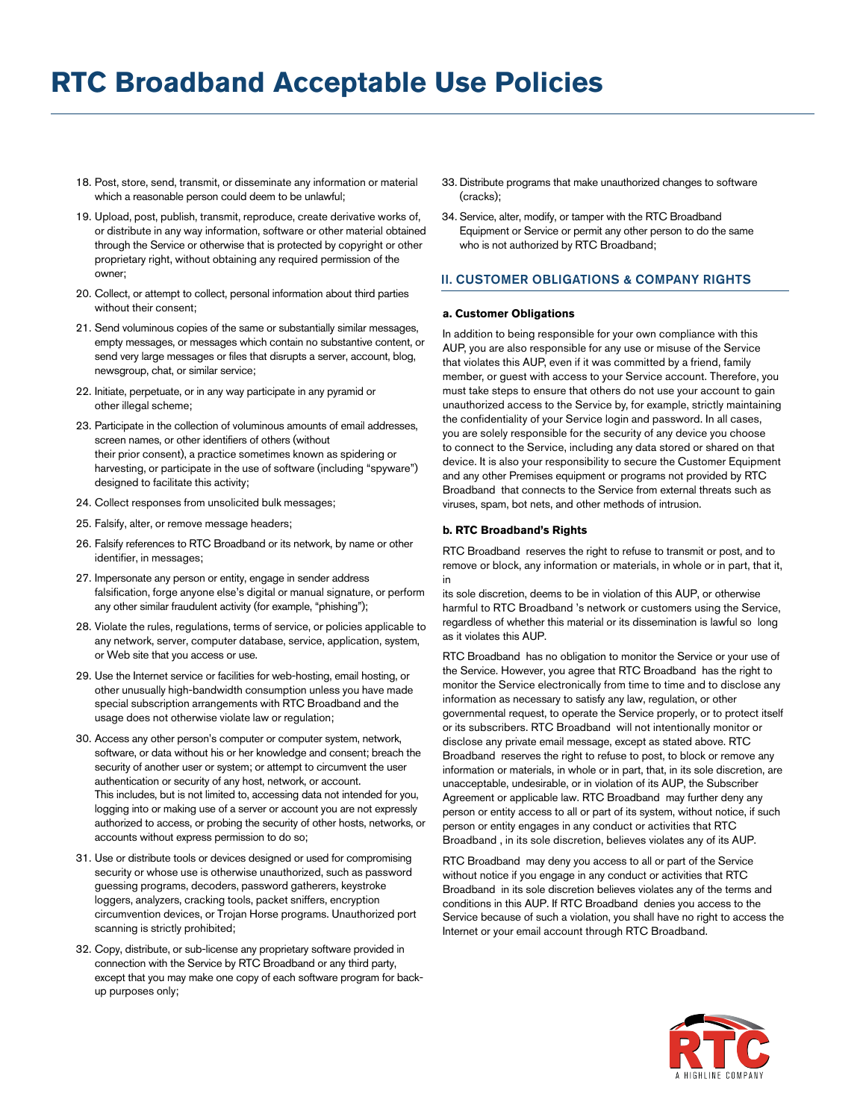- 18. Post, store, send, transmit, or disseminate any information or material which a reasonable person could deem to be unlawful;
- 19. Upload, post, publish, transmit, reproduce, create derivative works of, or distribute in any way information, software or other material obtained through the Service or otherwise that is protected by copyright or other proprietary right, without obtaining any required permission of the owner;
- 20. Collect, or attempt to collect, personal information about third parties without their consent;
- 21. Send voluminous copies of the same or substantially similar messages, empty messages, or messages which contain no substantive content, or send very large messages or files that disrupts a server, account, blog, newsgroup, chat, or similar service;
- 22. Initiate, perpetuate, or in any way participate in any pyramid or other illegal scheme;
- 23. Participate in the collection of voluminous amounts of email addresses, screen names, or other identifiers of others (without their prior consent), a practice sometimes known as spidering or harvesting, or participate in the use of software (including "spyware") designed to facilitate this activity;
- 24. Collect responses from unsolicited bulk messages;
- 25. Falsify, alter, or remove message headers;
- 26. Falsify references to RTC Broadband or its network, by name or other identifier, in messages;
- 27. Impersonate any person or entity, engage in sender address falsification, forge anyone else's digital or manual signature, or perform any other similar fraudulent activity (for example, "phishing");
- 28. Violate the rules, regulations, terms of service, or policies applicable to any network, server, computer database, service, application, system, or Web site that you access or use.
- 29. Use the Internet service or facilities for web-hosting, email hosting, or other unusually high-bandwidth consumption unless you have made special subscription arrangements with RTC Broadband and the usage does not otherwise violate law or regulation;
- 30. Access any other person's computer or computer system, network, software, or data without his or her knowledge and consent; breach the security of another user or system; or attempt to circumvent the user authentication or security of any host, network, or account. This includes, but is not limited to, accessing data not intended for you, logging into or making use of a server or account you are not expressly authorized to access, or probing the security of other hosts, networks, or accounts without express permission to do so;
- 31. Use or distribute tools or devices designed or used for compromising security or whose use is otherwise unauthorized, such as password guessing programs, decoders, password gatherers, keystroke loggers, analyzers, cracking tools, packet sniffers, encryption circumvention devices, or Trojan Horse programs. Unauthorized port scanning is strictly prohibited;
- 32. Copy, distribute, or sub-license any proprietary software provided in connection with the Service by RTC Broadband or any third party, except that you may make one copy of each software program for backup purposes only;
- 33. Distribute programs that make unauthorized changes to software (cracks);
- 34. Service, alter, modify, or tamper with the RTC Broadband Equipment or Service or permit any other person to do the same who is not authorized by RTC Broadband;

## II. CUSTOMER OBLIGATIONS & COMPANY RIGHTS

#### **a. Customer Obligations**

In addition to being responsible for your own compliance with this AUP, you are also responsible for any use or misuse of the Service that violates this AUP, even if it was committed by a friend, family member, or guest with access to your Service account. Therefore, you must take steps to ensure that others do not use your account to gain unauthorized access to the Service by, for example, strictly maintaining the confidentiality of your Service login and password. In all cases, you are solely responsible for the security of any device you choose to connect to the Service, including any data stored or shared on that device. It is also your responsibility to secure the Customer Equipment and any other Premises equipment or programs not provided by RTC Broadband that connects to the Service from external threats such as viruses, spam, bot nets, and other methods of intrusion.

#### **b. RTC Broadband's Rights**

RTC Broadband reserves the right to refuse to transmit or post, and to remove or block, any information or materials, in whole or in part, that it, in

its sole discretion, deems to be in violation of this AUP, or otherwise harmful to RTC Broadband 's network or customers using the Service, regardless of whether this material or its dissemination is lawful so long as it violates this AUP.

RTC Broadband has no obligation to monitor the Service or your use of the Service. However, you agree that RTC Broadband has the right to monitor the Service electronically from time to time and to disclose any information as necessary to satisfy any law, regulation, or other governmental request, to operate the Service properly, or to protect itself or its subscribers. RTC Broadband will not intentionally monitor or disclose any private email message, except as stated above. RTC Broadband reserves the right to refuse to post, to block or remove any information or materials, in whole or in part, that, in its sole discretion, are unacceptable, undesirable, or in violation of its AUP, the Subscriber Agreement or applicable law. RTC Broadband may further deny any person or entity access to all or part of its system, without notice, if such person or entity engages in any conduct or activities that RTC Broadband , in its sole discretion, believes violates any of its AUP.

RTC Broadband may deny you access to all or part of the Service without notice if you engage in any conduct or activities that RTC Broadband in its sole discretion believes violates any of the terms and conditions in this AUP. If RTC Broadband denies you access to the Service because of such a violation, you shall have no right to access the Internet or your email account through RTC Broadband.

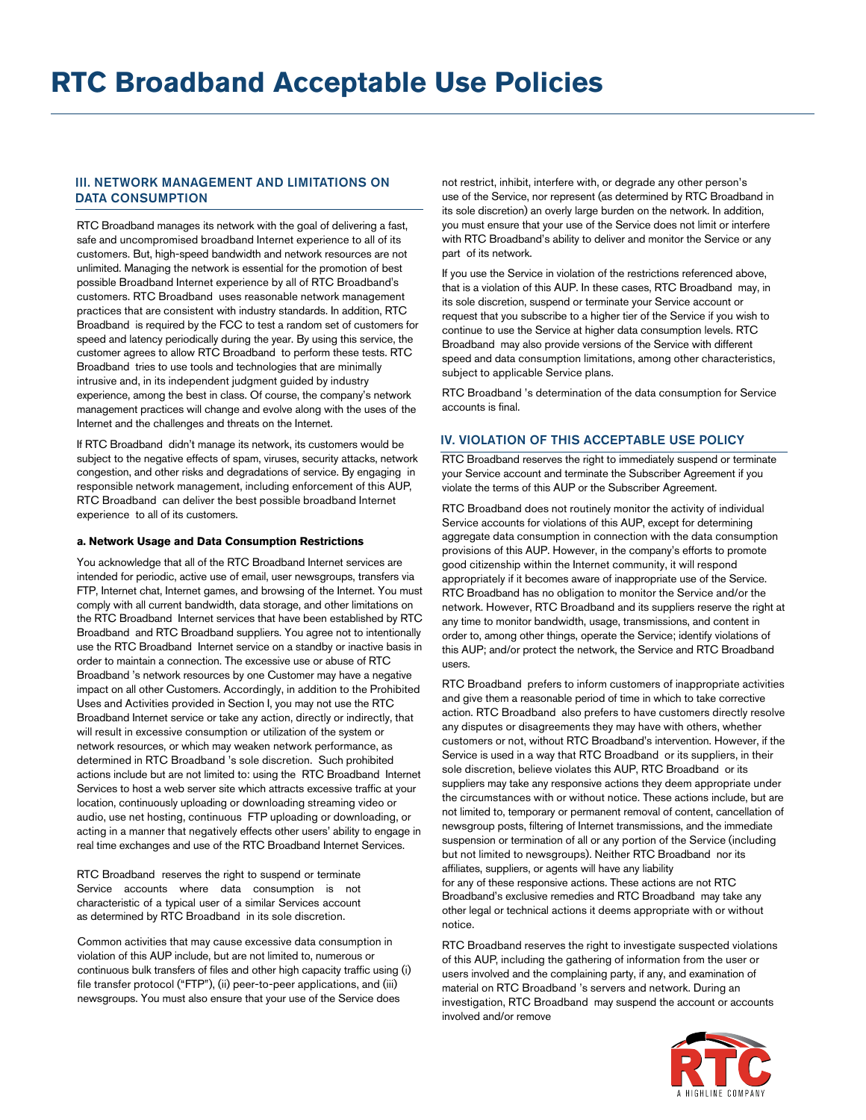# III. NETWORK MANAGEMENT AND LIMITATIONS ON DATA CONSUMPTION

RTC Broadband manages its network with the goal of delivering a fast, safe and uncompromised broadband Internet experience to all of its customers. But, high-speed bandwidth and network resources are not unlimited. Managing the network is essential for the promotion of best possible Broadband Internet experience by all of RTC Broadband's customers. RTC Broadband uses reasonable network management practices that are consistent with industry standards. In addition, RTC Broadband is required by the FCC to test a random set of customers for speed and latency periodically during the year. By using this service, the customer agrees to allow RTC Broadband to perform these tests. RTC Broadband tries to use tools and technologies that are minimally intrusive and, in its independent judgment guided by industry experience, among the best in class. Of course, the company's network management practices will change and evolve along with the uses of the Internet and the challenges and threats on the Internet.

If RTC Broadband didn't manage its network, its customers would be subject to the negative effects of spam, viruses, security attacks, network congestion, and other risks and degradations of service. By engaging in responsible network management, including enforcement of this AUP, RTC Broadband can deliver the best possible broadband Internet experience to all of its customers.

#### **a. Network Usage and Data Consumption Restrictions**

You acknowledge that all of the RTC Broadband Internet services are intended for periodic, active use of email, user newsgroups, transfers via FTP, Internet chat, Internet games, and browsing of the Internet. You must comply with all current bandwidth, data storage, and other limitations on the RTC Broadband Internet services that have been established by RTC Broadband and RTC Broadband suppliers. You agree not to intentionally use the RTC Broadband Internet service on a standby or inactive basis in order to maintain a connection. The excessive use or abuse of RTC Broadband 's network resources by one Customer may have a negative impact on all other Customers. Accordingly, in addition to the Prohibited Uses and Activities provided in Section I, you may not use the RTC Broadband Internet service or take any action, directly or indirectly, that will result in excessive consumption or utilization of the system or network resources, or which may weaken network performance, as determined in RTC Broadband 's sole discretion. Such prohibited actions include but are not limited to: using the RTC Broadband Internet Services to host a web server site which attracts excessive traffic at your location, continuously uploading or downloading streaming video or audio, use net hosting, continuous FTP uploading or downloading, or acting in a manner that negatively effects other users' ability to engage in real time exchanges and use of the RTC Broadband Internet Services.

RTC Broadband reserves the right to suspend or terminate Service accounts where data consumption is not characteristic of a typical user of a similar Services account as determined by RTC Broadband in its sole discretion.

Common activities that may cause excessive data consumption in violation of this AUP include, but are not limited to, numerous or continuous bulk transfers of files and other high capacity traffic using (i) file transfer protocol ("FTP"), (ii) peer-to-peer applications, and (iii) newsgroups. You must also ensure that your use of the Service does

not restrict, inhibit, interfere with, or degrade any other person's use of the Service, nor represent (as determined by RTC Broadband in its sole discretion) an overly large burden on the network. In addition, you must ensure that your use of the Service does not limit or interfere with RTC Broadband's ability to deliver and monitor the Service or any part of its network.

If you use the Service in violation of the restrictions referenced above, that is a violation of this AUP. In these cases, RTC Broadband may, in its sole discretion, suspend or terminate your Service account or request that you subscribe to a higher tier of the Service if you wish to continue to use the Service at higher data consumption levels. RTC Broadband may also provide versions of the Service with different speed and data consumption limitations, among other characteristics, subject to applicable Service plans.

RTC Broadband 's determination of the data consumption for Service accounts is final.

#### IV. VIOLATION OF THIS ACCEPTABLE USE POLICY

RTC Broadband reserves the right to immediately suspend or terminate your Service account and terminate the Subscriber Agreement if you violate the terms of this AUP or the Subscriber Agreement.

RTC Broadband does not routinely monitor the activity of individual Service accounts for violations of this AUP, except for determining aggregate data consumption in connection with the data consumption provisions of this AUP. However, in the company's efforts to promote good citizenship within the Internet community, it will respond appropriately if it becomes aware of inappropriate use of the Service. RTC Broadband has no obligation to monitor the Service and/or the network. However, RTC Broadband and its suppliers reserve the right at any time to monitor bandwidth, usage, transmissions, and content in order to, among other things, operate the Service; identify violations of this AUP; and/or protect the network, the Service and RTC Broadband users.

RTC Broadband prefers to inform customers of inappropriate activities and give them a reasonable period of time in which to take corrective action. RTC Broadband also prefers to have customers directly resolve any disputes or disagreements they may have with others, whether customers or not, without RTC Broadband's intervention. However, if the Service is used in a way that RTC Broadband or its suppliers, in their sole discretion, believe violates this AUP, RTC Broadband or its suppliers may take any responsive actions they deem appropriate under the circumstances with or without notice. These actions include, but are not limited to, temporary or permanent removal of content, cancellation of newsgroup posts, filtering of Internet transmissions, and the immediate suspension or termination of all or any portion of the Service (including but not limited to newsgroups). Neither RTC Broadband nor its affiliates, suppliers, or agents will have any liability for any of these responsive actions. These actions are not RTC Broadband's exclusive remedies and RTC Broadband may take any other legal or technical actions it deems appropriate with or without notice.

RTC Broadband reserves the right to investigate suspected violations of this AUP, including the gathering of information from the user or users involved and the complaining party, if any, and examination of material on RTC Broadband 's servers and network. During an investigation, RTC Broadband may suspend the account or accounts involved and/or remove